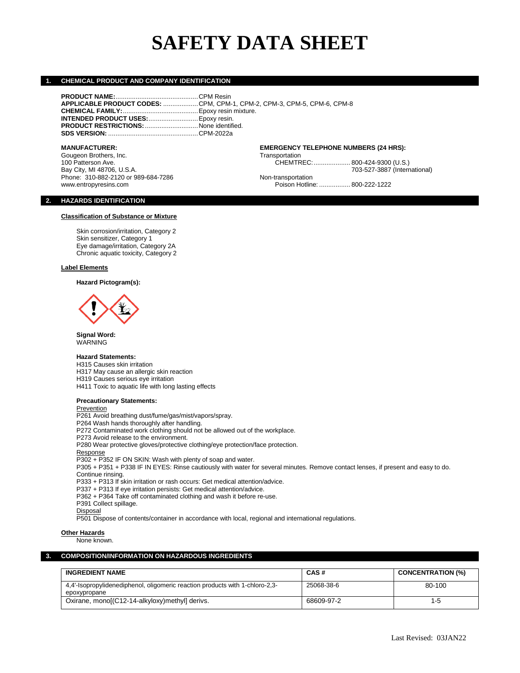# **SAFETY DATA SHEET**

CHEMTREC:.................... 800-424-9300 (U.S.)

Poison Hotline: .................. 800-222-1222

#### **1. CHEMICAL PRODUCT AND COMPANY IDENTIFICATION**

**PRODUCT NAME:**.............................................CPM Resin **APPLICABLE PRODUCT CODES:** ...................CPM, CPM-1, CPM-2, CPM-3, CPM-5, CPM-6, CPM-8 **CHEMICAL FAMILY:**.........................................Epoxy resin mixture. **INTENDED PRODUCT USES:**...........................Epoxy resin. **PRODUCT RESTRICTIONS:**.............................None identified. **SDS VERSION:** .................................................CPM-2022a

#### **MANUFACTURER: EMERGENCY TELEPHONE NUMBERS (24 HRS):**

Gougeon Brothers, Inc. Communication Communication CHEMTR Transportation CHEMTR CHEMTR CHEMTR Bay City, MI 48706, U.S.A. 703-624-7286<br>
Phone: 310-882-2120 or 989-684-7286 The Research Contransportation Mon-transportation Phone: 310-882-2120 or 989-684-7286<br>www.entropyresins.com

#### **2. HAZARDS IDENTIFICATION**

#### **Classification of Substance or Mixture**

Skin corrosion/irritation, Category 2 Skin sensitizer, Category 1 Eye damage/irritation, Category 2A Chronic aquatic toxicity, Category 2

#### **Label Elements**

**Hazard Pictogram(s):**



**Signal Word:** WARNING

#### **Hazard Statements:**

H315 Causes skin irritation H317 May cause an allergic skin reaction H319 Causes serious eye irritation H411 Toxic to aquatic life with long lasting effects

#### **Precautionary Statements:**

Prevention P261 Avoid breathing dust/fume/gas/mist/vapors/spray. P264 Wash hands thoroughly after handling. P272 Contaminated work clothing should not be allowed out of the workplace. P273 Avoid release to the environment. P280 Wear protective gloves/protective clothing/eye protection/face protection. Response P302 + P352 IF ON SKIN: Wash with plenty of soap and water. P305 + P351 + P338 IF IN EYES: Rinse cautiously with water for several minutes. Remove contact lenses, if present and easy to do. Continue rinsing. P333 + P313 If skin irritation or rash occurs: Get medical attention/advice. P337 + P313 If eye irritation persists: Get medical attention/advice. P362 + P364 Take off contaminated clothing and wash it before re-use. P391 Collect spillage. **Disposal** 

P501 Dispose of contents/container in accordance with local, regional and international regulations.

#### **Other Hazards**

None known.

#### **3. COMPOSITION/INFORMATION ON HAZARDOUS INGREDIENTS**

| <b>INGREDIENT NAME</b>                                                                       | CAS#       | <b>CONCENTRATION (%)</b> |
|----------------------------------------------------------------------------------------------|------------|--------------------------|
| 4.4'-Isopropylidenediphenol, oligomeric reaction products with 1-chloro-2.3-<br>epoxypropane | 25068-38-6 | 80-100                   |
| Oxirane, mono[(C12-14-alkyloxy)methyl] derivs.                                               | 68609-97-2 | $1-5$                    |

Last Revised: 03JAN22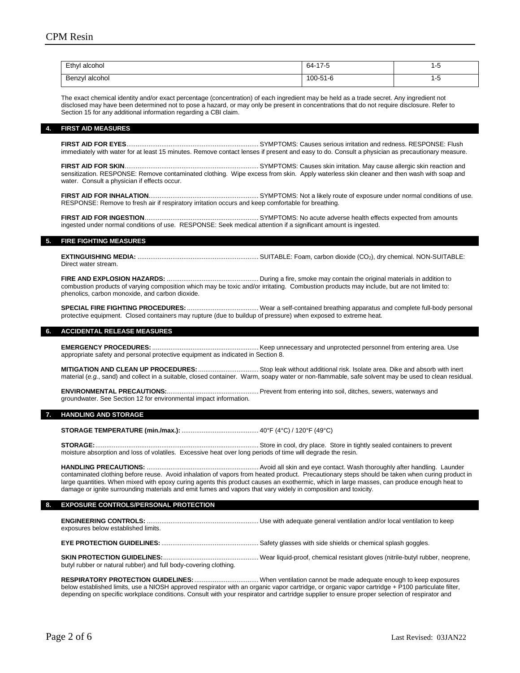| Ethyl alcohol<br>.  | $64 -$<br>47E<br>7∹ | ◡<br>$\sim$ |
|---------------------|---------------------|-------------|
| ' alcohol<br>Benzyl | 100-51-6            | . .<br>◡    |

The exact chemical identity and/or exact percentage (concentration) of each ingredient may be held as a trade secret. Any ingredient not disclosed may have been determined not to pose a hazard, or may only be present in concentrations that do not require disclosure. Refer to Section 15 for any additional information regarding a CBI claim.

#### **4. FIRST AID MEASURES**

**FIRST AID FOR EYES**........................................................................ SYMPTOMS: Causes serious irritation and redness. RESPONSE: Flush immediately with water for at least 15 minutes. Remove contact lenses if present and easy to do. Consult a physician as precautionary measure.

**FIRST AID FOR SKIN**......................................................................... SYMPTOMS: Causes skin irritation. May cause allergic skin reaction and sensitization. RESPONSE: Remove contaminated clothing. Wipe excess from skin. Apply waterless skin cleaner and then wash with soap and water. Consult a physician if effects occur.

**FIRST AID FOR INHALATION**............................................................ SYMPTOMS: Not a likely route of exposure under normal conditions of use. RESPONSE: Remove to fresh air if respiratory irritation occurs and keep comfortable for breathing.

**FIRST AID FOR INGESTION**.............................................................. SYMPTOMS: No acute adverse health effects expected from amounts ingested under normal conditions of use. RESPONSE: Seek medical attention if a significant amount is ingested.

#### **5. FIRE FIGHTING MEASURES**

**EXTINGUISHING MEDIA:** .................................................................. SUITABLE: Foam, carbon dioxide (CO2), dry chemical. NON-SUITABLE: Direct water stream.

**FIRE AND EXPLOSION HAZARDS:** .................................................. During a fire, smoke may contain the original materials in addition to combustion products of varying composition which may be toxic and/or irritating. Combustion products may include, but are not limited to: phenolics, carbon monoxide, and carbon dioxide.

**SPECIAL FIRE FIGHTING PROCEDURES:** ....................................... Wear a self-contained breathing apparatus and complete full-body personal protective equipment. Closed containers may rupture (due to buildup of pressure) when exposed to extreme heat.

#### **6. ACCIDENTAL RELEASE MEASURES**

**EMERGENCY PROCEDURES:** .......................................................... Keep unnecessary and unprotected personnel from entering area. Use appropriate safety and personal protective equipment as indicated in Section 8.

**MITIGATION AND CLEAN UP PROCEDURES:**................................. Stop leak without additional risk. Isolate area. Dike and absorb with inert material (*e.g.*, sand) and collect in a suitable, closed container. Warm, soapy water or non-flammable, safe solvent may be used to clean residual.

**ENVIRONMENTAL PRECAUTIONS:**.................................................. Prevent from entering into soil, ditches, sewers, waterways and groundwater. See Section 12 for environmental impact information.

#### **7. HANDLING AND STORAGE**

**STORAGE TEMPERATURE (min./max.):** .......................................... 40°F (4°C) / 120°F (49°C)

**STORAGE:**......................................................................................... Store in cool, dry place. Store in tightly sealed containers to prevent moisture absorption and loss of volatiles. Excessive heat over long periods of time will degrade the resin.

**HANDLING PRECAUTIONS:** ............................................................. Avoid all skin and eye contact. Wash thoroughly after handling. Launder contaminated clothing before reuse. Avoid inhalation of vapors from heated product. Precautionary steps should be taken when curing product in large quantities. When mixed with epoxy curing agents this product causes an exothermic, which in large masses, can produce enough heat to damage or ignite surrounding materials and emit fumes and vapors that vary widely in composition and toxicity.

#### **8. EXPOSURE CONTROLS/PERSONAL PROTECTION**

**ENGINEERING CONTROLS:** ............................................................. Use with adequate general ventilation and/or local ventilation to keep exposures below established limits.

**EYE PROTECTION GUIDELINES:** ..................................................... Safety glasses with side shields or chemical splash goggles.

# **SKIN PROTECTION GUIDELINES:**.................................................... Wear liquid-proof, chemical resistant gloves (nitrile-butyl rubber, neoprene,

butyl rubber or natural rubber) and full body-covering clothing.

**RESPIRATORY PROTECTION GUIDELINES:**................................... When ventilation cannot be made adequate enough to keep exposures below established limits, use a NIOSH approved respirator with an organic vapor cartridge, or organic vapor cartridge + P100 particulate filter, depending on specific workplace conditions. Consult with your respirator and cartridge supplier to ensure proper selection of respirator and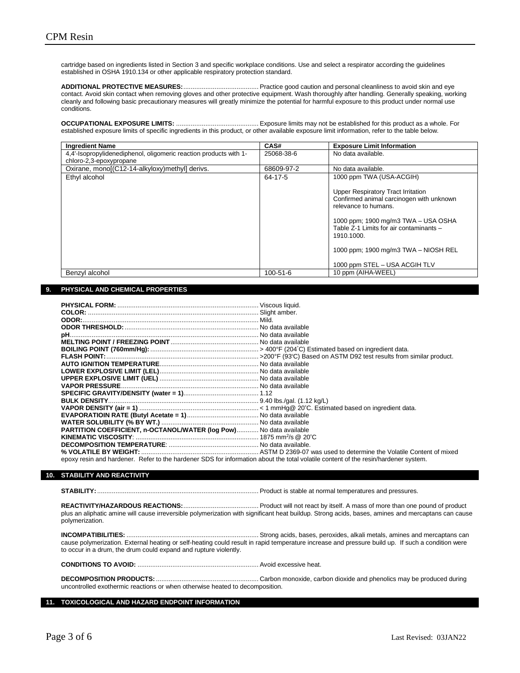cartridge based on ingredients listed in Section 3 and specific workplace conditions. Use and select a respirator according the guidelines established in OSHA 1910.134 or other applicable respiratory protection standard.

**ADDITIONAL PROTECTIVE MEASURES:**......................................... Practice good caution and personal cleanliness to avoid skin and eye contact. Avoid skin contact when removing gloves and other protective equipment. Wash thoroughly after handling. Generally speaking, working cleanly and following basic precautionary measures will greatly minimize the potential for harmful exposure to this product under normal use conditions.

**OCCUPATIONAL EXPOSURE LIMITS:** ............................................. Exposure limits may not be established for this product as a whole. For established exposure limits of specific ingredients in this product, or other available exposure limit information, refer to the table below.

| <b>Ingredient Name</b>                                            | CAS#           | <b>Exposure Limit Information</b>                                                                                                                                                                                                                                               |
|-------------------------------------------------------------------|----------------|---------------------------------------------------------------------------------------------------------------------------------------------------------------------------------------------------------------------------------------------------------------------------------|
| 4,4'-Isopropylidenediphenol, oligomeric reaction products with 1- | 25068-38-6     | No data available.                                                                                                                                                                                                                                                              |
| chloro-2,3-epoxypropane                                           |                |                                                                                                                                                                                                                                                                                 |
| Oxirane, monol(C12-14-alkyloxy) methyll derivs.                   | 68609-97-2     | No data available.                                                                                                                                                                                                                                                              |
| Ethyl alcohol                                                     | 64-17-5        | 1000 ppm TWA (USA-ACGIH)                                                                                                                                                                                                                                                        |
|                                                                   |                | Upper Respiratory Tract Irritation<br>Confirmed animal carcinogen with unknown<br>relevance to humans.<br>1000 ppm; 1900 mg/m3 TWA - USA OSHA<br>Table Z-1 Limits for air contaminants -<br>1910.1000.<br>1000 ppm; 1900 mg/m3 TWA - NIOSH REL<br>1000 ppm STEL - USA ACGIH TLV |
| Benzyl alcohol                                                    | $100 - 51 - 6$ | 10 ppm (AIHA-WEEL)                                                                                                                                                                                                                                                              |

#### **9. PHYSICAL AND CHEMICAL PROPERTIES**

| PARTITION COEFFICIENT, n-OCTANOL/WATER (log Pow) No data available                                                                 |  |
|------------------------------------------------------------------------------------------------------------------------------------|--|
|                                                                                                                                    |  |
|                                                                                                                                    |  |
|                                                                                                                                    |  |
| epoxy resin and hardener. Refer to the hardener SDS for information about the total volatile content of the resin/hardener system. |  |

#### **10. STABILITY AND REACTIVITY**

**STABILITY:**........................................................................................ Product is stable at normal temperatures and pressures.

**REACTIVITY/HAZARDOUS REACTIONS:**......................................... Product will not react by itself. A mass of more than one pound of product plus an aliphatic amine will cause irreversible polymerization with significant heat buildup. Strong acids, bases, amines and mercaptans can cause polymerization.

**INCOMPATIBILITIES:** ........................................................................ Strong acids, bases, peroxides, alkali metals, amines and mercaptans can cause polymerization. External heating or self-heating could result in rapid temperature increase and pressure build up. If such a condition were to occur in a drum, the drum could expand and rupture violently.

**CONDITIONS TO AVOID:** .................................................................. Avoid excessive heat.

**DECOMPOSITION PRODUCTS:**........................................................ Carbon monoxide, carbon dioxide and phenolics may be produced during uncontrolled exothermic reactions or when otherwise heated to decomposition.

**11. TOXICOLOGICAL AND HAZARD ENDPOINT INFORMATION**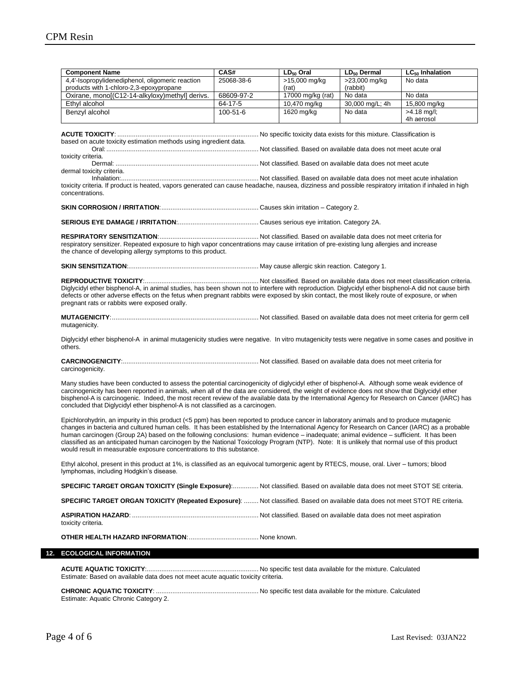| <b>Component Name</b>                                                                                                                                                                | CAS#           | $LD_{50}$ Oral    | LD <sub>50</sub> Dermal | $LC_{50}$ Inhalation |
|--------------------------------------------------------------------------------------------------------------------------------------------------------------------------------------|----------------|-------------------|-------------------------|----------------------|
| 4,4'-Isopropylidenediphenol, oligomeric reaction                                                                                                                                     | 25068-38-6     | >15,000 mg/kg     | >23,000 mg/kg           | No data              |
| products with 1-chloro-2,3-epoxypropane                                                                                                                                              |                | (rat)             | (rabbit)                |                      |
| Oxirane, mono[(C12-14-alkyloxy)methyl] derivs.                                                                                                                                       | 68609-97-2     | 17000 mg/kg (rat) | No data                 | No data              |
| Ethyl alcohol                                                                                                                                                                        | 64-17-5        | 10,470 mg/kg      | 30,000 mg/L; 4h         | 15,800 mg/kg         |
| Benzyl alcohol                                                                                                                                                                       | $100 - 51 - 6$ | 1620 mg/kg        | No data                 | $>4.18$ mg/l;        |
|                                                                                                                                                                                      |                |                   |                         | 4h aerosol           |
|                                                                                                                                                                                      |                |                   |                         |                      |
|                                                                                                                                                                                      |                |                   |                         |                      |
| based on acute toxicity estimation methods using ingredient data.                                                                                                                    |                |                   |                         |                      |
| toxicity criteria.                                                                                                                                                                   |                |                   |                         |                      |
|                                                                                                                                                                                      |                |                   |                         |                      |
| dermal toxicity criteria.                                                                                                                                                            |                |                   |                         |                      |
|                                                                                                                                                                                      |                |                   |                         |                      |
| toxicity criteria. If product is heated, vapors generated can cause headache, nausea, dizziness and possible respiratory irritation if inhaled in high                               |                |                   |                         |                      |
| concentrations.                                                                                                                                                                      |                |                   |                         |                      |
|                                                                                                                                                                                      |                |                   |                         |                      |
|                                                                                                                                                                                      |                |                   |                         |                      |
|                                                                                                                                                                                      |                |                   |                         |                      |
|                                                                                                                                                                                      |                |                   |                         |                      |
| respiratory sensitizer. Repeated exposure to high vapor concentrations may cause irritation of pre-existing lung allergies and increase                                              |                |                   |                         |                      |
| the chance of developing allergy symptoms to this product.                                                                                                                           |                |                   |                         |                      |
|                                                                                                                                                                                      |                |                   |                         |                      |
|                                                                                                                                                                                      |                |                   |                         |                      |
|                                                                                                                                                                                      |                |                   |                         |                      |
| Diglycidyl ether bisphenol-A, in animal studies, has been shown not to interfere with reproduction. Diglycidyl ether bisphenol-A did not cause birth                                 |                |                   |                         |                      |
| defects or other adverse effects on the fetus when pregnant rabbits were exposed by skin contact, the most likely route of exposure, or when                                         |                |                   |                         |                      |
| pregnant rats or rabbits were exposed orally.                                                                                                                                        |                |                   |                         |                      |
|                                                                                                                                                                                      |                |                   |                         |                      |
| mutagenicity.                                                                                                                                                                        |                |                   |                         |                      |
|                                                                                                                                                                                      |                |                   |                         |                      |
| Diglycidyl ether bisphenol-A in animal mutagenicity studies were negative. In vitro mutagenicity tests were negative in some cases and positive in                                   |                |                   |                         |                      |
| others.                                                                                                                                                                              |                |                   |                         |                      |
|                                                                                                                                                                                      |                |                   |                         |                      |
| carcinogenicity.                                                                                                                                                                     |                |                   |                         |                      |
|                                                                                                                                                                                      |                |                   |                         |                      |
| Many studies have been conducted to assess the potential carcinogenicity of diglycidyl ether of bisphenol-A. Although some weak evidence of                                          |                |                   |                         |                      |
| carcinogenicity has been reported in animals, when all of the data are considered, the weight of evidence does not show that Diglycidyl ether                                        |                |                   |                         |                      |
| bisphenol-A is carcinogenic. Indeed, the most recent review of the available data by the International Agency for Research on Cancer (IARC) has                                      |                |                   |                         |                      |
| concluded that Diglycidyl ether bisphenol-A is not classified as a carcinogen.                                                                                                       |                |                   |                         |                      |
| Epichlorohydrin, an impurity in this product (<5 ppm) has been reported to produce cancer in laboratory animals and to produce mutagenic                                             |                |                   |                         |                      |
| changes in bacteria and cultured human cells. It has been established by the International Agency for Research on Cancer (IARC) as a probable                                        |                |                   |                         |                      |
| human carcinogen (Group 2A) based on the following conclusions: human evidence - inadequate; animal evidence - sufficient. It has been                                               |                |                   |                         |                      |
| classified as an anticipated human carcinogen by the National Toxicology Program (NTP). Note: It is unlikely that normal use of this product                                         |                |                   |                         |                      |
| would result in measurable exposure concentrations to this substance.                                                                                                                |                |                   |                         |                      |
|                                                                                                                                                                                      |                |                   |                         |                      |
| Ethyl alcohol, present in this product at 1%, is classified as an equivocal tumorgenic agent by RTECS, mouse, oral. Liver – tumors; blood<br>lymphomas, including Hodgkin's disease. |                |                   |                         |                      |
|                                                                                                                                                                                      |                |                   |                         |                      |
| SPECIFIC TARGET ORGAN TOXICITY (Single Exposure): Not classified. Based on available data does not meet STOT SE criteria.                                                            |                |                   |                         |                      |
| SPECIFIC TARGET ORGAN TOXICITY (Repeated Exposure):  Not classified. Based on available data does not meet STOT RE criteria.                                                         |                |                   |                         |                      |
|                                                                                                                                                                                      |                |                   |                         |                      |
|                                                                                                                                                                                      |                |                   |                         |                      |
| toxicity criteria.                                                                                                                                                                   |                |                   |                         |                      |
|                                                                                                                                                                                      |                |                   |                         |                      |
|                                                                                                                                                                                      |                |                   |                         |                      |
|                                                                                                                                                                                      |                |                   |                         |                      |
| <b>ECOLOGICAL INFORMATION</b>                                                                                                                                                        |                |                   |                         |                      |
|                                                                                                                                                                                      |                |                   |                         |                      |
|                                                                                                                                                                                      |                |                   |                         |                      |
|                                                                                                                                                                                      |                |                   |                         |                      |
| Estimate: Based on available data does not meet acute aquatic toxicity criteria.<br>Estimate: Aquatic Chronic Category 2.                                                            |                |                   |                         |                      |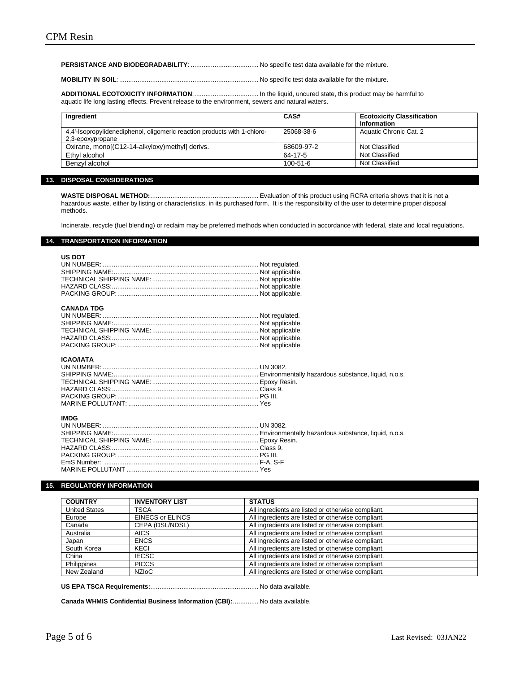#### **PERSISTANCE AND BIODEGRADABILITY**: ..................................... No specific test data available for the mixture.

**MOBILITY IN SOIL**: ............................................................................ No specific test data available for the mixture.

**ADDITIONAL ECOTOXICITY INFORMATION**:................................... In the liquid, uncured state, this product may be harmful to aquatic life long lasting effects. Prevent release to the environment, sewers and natural waters.

| Ingredient                                                                                   | CAS#           | <b>Ecotoxicity Classification</b><br>Information |
|----------------------------------------------------------------------------------------------|----------------|--------------------------------------------------|
| 4,4'-Isopropylidenediphenol, oligomeric reaction products with 1-chloro-<br>2,3-epoxypropane | 25068-38-6     | Aquatic Chronic Cat. 2                           |
| Oxirane, monol(C12-14-alkyloxy) methyll derivs.                                              | 68609-97-2     | Not Classified                                   |
| Ethyl alcohol                                                                                | 64-17-5        | Not Classified                                   |
| Benzvl alcohol                                                                               | $100 - 51 - 6$ | Not Classified                                   |

# **13. DISPOSAL CONSIDERATIONS**

**WASTE DISPOSAL METHOD:**........................................................... Evaluation of this product using RCRA criteria shows that it is not a hazardous waste, either by listing or characteristics, in its purchased form. It is the responsibility of the user to determine proper disposal methods.

Incinerate, recycle (fuel blending) or reclaim may be preferred methods when conducted in accordance with federal, state and local regulations.

#### **14. TRANSPORTATION INFORMATION**

| 00 DU L |  |
|---------|--|
|         |  |
|         |  |
|         |  |
|         |  |
|         |  |
|         |  |

# **CANADA TDG**

# **ICAO/IATA**

#### **IMDG**

## **15. REGULATORY INFORMATION**

| <b>COUNTRY</b>       | <b>INVENTORY LIST</b>   | <b>STATUS</b>                                      |
|----------------------|-------------------------|----------------------------------------------------|
| <b>United States</b> | <b>TSCA</b>             | All ingredients are listed or otherwise compliant. |
| Europe               | <b>EINECS or ELINCS</b> | All ingredients are listed or otherwise compliant. |
| Canada               | CEPA (DSL/NDSL)         | All ingredients are listed or otherwise compliant. |
| Australia            | <b>AICS</b>             | All ingredients are listed or otherwise compliant. |
| Japan                | <b>ENCS</b>             | All ingredients are listed or otherwise compliant. |
| South Korea          | KECI                    | All ingredients are listed or otherwise compliant. |
| China                | <b>IECSC</b>            | All ingredients are listed or otherwise compliant. |
| Philippines          | <b>PICCS</b>            | All ingredients are listed or otherwise compliant. |
| New Zealand          | <b>NZIOC</b>            | All ingredients are listed or otherwise compliant. |

# **US EPA TSCA Requirements:**........................................................... No data available.

**Canada WHMIS Confidential Business Information (CBI):**.............. No data available.